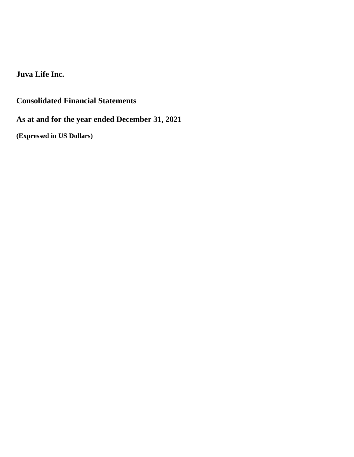**Juva Life Inc.**

## **Consolidated Financial Statements**

# **As at and for the year ended December 31, 2021**

**(Expressed in US Dollars)**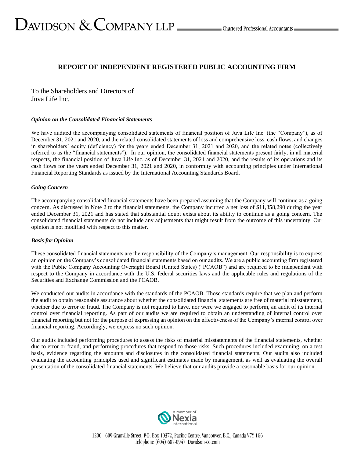# $D_{\text{AVIDSON}} \ \&\ \text{COMPANY LLP} \_\text{\tiny{LIP}}$  Chartered Professional Accountants  $D_{\text{AVIDSON}}$

## **REPORT OF INDEPENDENT REGISTERED PUBLIC ACCOUNTING FIRM**

To the Shareholders and Directors of Juva Life Inc.

#### *Opinion on the Consolidated Financial Statements*

We have audited the accompanying consolidated statements of financial position of Juva Life Inc. (the "Company"), as of December 31, 2021 and 2020, and the related consolidated statements of loss and comprehensive loss, cash flows, and changes in shareholders' equity (deficiency) for the years ended December 31, 2021 and 2020, and the related notes (collectively referred to as the "financial statements"). In our opinion, the consolidated financial statements present fairly, in all material respects, the financial position of Juva Life Inc. as of December 31, 2021 and 2020, and the results of its operations and its cash flows for the years ended December 31, 2021 and 2020, in conformity with accounting principles under International Financial Reporting Standards as issued by the International Accounting Standards Board.

#### *Going Concern*

The accompanying consolidated financial statements have been prepared assuming that the Company will continue as a going concern. As discussed in Note 2 to the financial statements, the Company incurred a net loss of \$11,358,290 during the year ended December 31, 2021 and has stated that substantial doubt exists about its ability to continue as a going concern. The consolidated financial statements do not include any adjustments that might result from the outcome of this uncertainty. Our opinion is not modified with respect to this matter.

#### *Basis for Opinion*

These consolidated financial statements are the responsibility of the Company's management. Our responsibility is to express an opinion on the Company's consolidated financial statements based on our audits. We are a public accounting firm registered with the Public Company Accounting Oversight Board (United States) ("PCAOB") and are required to be independent with respect to the Company in accordance with the U.S. federal securities laws and the applicable rules and regulations of the Securities and Exchange Commission and the PCAOB.

We conducted our audits in accordance with the standards of the PCAOB. Those standards require that we plan and perform the audit to obtain reasonable assurance about whether the consolidated financial statements are free of material misstatement, whether due to error or fraud. The Company is not required to have, nor were we engaged to perform, an audit of its internal control over financial reporting. As part of our audits we are required to obtain an understanding of internal control over financial reporting but not for the purpose of expressing an opinion on the effectiveness of the Company's internal control over financial reporting. Accordingly, we express no such opinion.

Our audits included performing procedures to assess the risks of material misstatements of the financial statements, whether due to error or fraud, and performing procedures that respond to those risks. Such procedures included examining, on a test basis, evidence regarding the amounts and disclosures in the consolidated financial statements. Our audits also included evaluating the accounting principles used and significant estimates made by management, as well as evaluating the overall presentation of the consolidated financial statements. We believe that our audits provide a reasonable basis for our opinion.



1200 - 609 Granville Street, P.O. Box 10372, Pacific Centre, Vancouver, B.C., Canada V7Y 1G6 Telephone (604) 687-0947 Davidson-co.com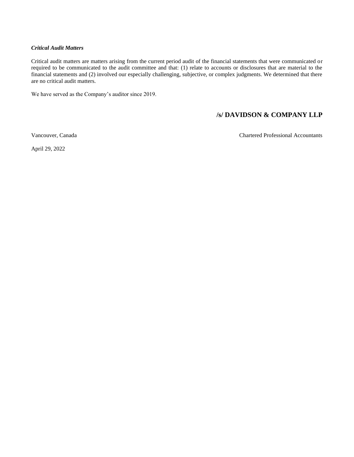#### *Critical Audit Matters*

Critical audit matters are matters arising from the current period audit of the financial statements that were communicated or required to be communicated to the audit committee and that: (1) relate to accounts or disclosures that are material to the financial statements and (2) involved our especially challenging, subjective, or complex judgments. We determined that there are no critical audit matters.

We have served as the Company's auditor since 2019.

## **/s/ DAVIDSON & COMPANY LLP**

Vancouver, Canada Chartered Professional Accountants

April 29, 2022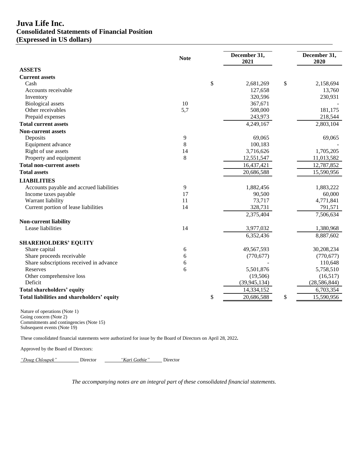## **Juva Life Inc. Consolidated Statements of Financial Position (Expressed in US dollars)**

|                                            | <b>Note</b> | December 31,<br>2021 | December 31,<br>2020 |
|--------------------------------------------|-------------|----------------------|----------------------|
| <b>ASSETS</b>                              |             |                      |                      |
| <b>Current assets</b>                      |             |                      |                      |
| Cash                                       |             | \$<br>2,681,269      | \$<br>2,158,694      |
| Accounts receivable                        |             | 127,658              | 13,760               |
| Inventory                                  |             | 320,596              | 230,931              |
| <b>Biological</b> assets                   | 10          | 367,671              |                      |
| Other receivables                          | 5,7         | 508,000              | 181,175              |
| Prepaid expenses                           |             | 243,973              | 218,544              |
| <b>Total current assets</b>                |             | 4,249,167            | 2,803,104            |
| <b>Non-current assets</b>                  |             |                      |                      |
| Deposits                                   | 9           | 69,065               | 69,065               |
| Equipment advance                          | 8           | 100,183              |                      |
| Right of use assets                        | 14          | 3,716,626            | 1,705,205            |
| Property and equipment                     | 8           | 12,551,547           | 11,013,582           |
| <b>Total non-current assets</b>            |             | 16,437,421           | 12,787,852           |
| <b>Total assets</b>                        |             | 20,686,588           | 15,590,956           |
| <b>LIABILITIES</b>                         |             |                      |                      |
| Accounts payable and accrued liabilities   | 9           | 1,882,456            | 1,883,222            |
| Income taxes payable                       | 17          | 90,500               | 60,000               |
| Warrant liability                          | 11          | 73,717               | 4,771,841            |
| Current portion of lease liabilities       | 14          | 328,731              | 791,571              |
|                                            |             | 2,375,404            | 7,506,634            |
| <b>Non-current liability</b>               |             |                      |                      |
| Lease liabilities                          | 14          | 3,977,032            | 1,380,968            |
|                                            |             | 6,352,436            | 8,887,602            |
| <b>SHAREHOLDERS' EQUITY</b>                |             |                      |                      |
| Share capital                              | 6           | 49,567,593           | 30,208,234           |
| Share proceeds receivable                  | 6           | (770, 677)           | (770, 677)           |
| Share subscriptions received in advance    | 6           |                      | 110,648              |
| Reserves                                   | 6           | 5,501,876            | 5,758,510            |
| Other comprehensive loss                   |             | (19,506)             | (16,517)             |
| Deficit                                    |             | (39, 945, 134)       | (28, 586, 844)       |
| Total shareholders' equity                 |             | 14,334,152           | 6,703,354            |
| Total liabilities and shareholders' equity |             | \$<br>20,686,588     | \$<br>15,590,956     |
|                                            |             |                      |                      |

Nature of operations (Note 1) Going concern (Note 2) Commitments and contingencies (Note 15) Subsequent events (Note 19)

These consolidated financial statements were authorized for issue by the Board of Directors on April 28, 2022**.**

Approved by the Board of Directors:

*"Doug Chloupek"* Director *"Kari Gothie"* Director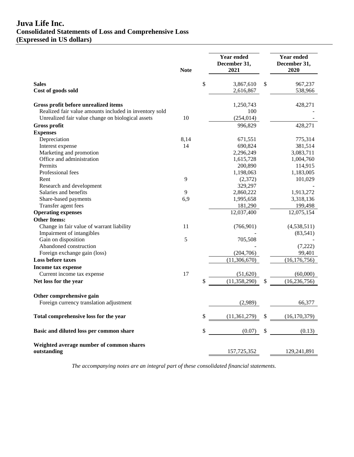## **Juva Life Inc. Consolidated Statements of Loss and Comprehensive Loss (Expressed in US dollars)**

|                                                         | <b>Note</b> | <b>Year ended</b><br>December 31,<br>2021 |    | <b>Year ended</b><br>December 31,<br>2020 |
|---------------------------------------------------------|-------------|-------------------------------------------|----|-------------------------------------------|
| <b>Sales</b>                                            |             | \$<br>3,867,610                           | \$ | 967,237                                   |
| Cost of goods sold                                      |             | 2,616,867                                 |    | 538,966                                   |
| Gross profit before unrealized items                    |             | 1,250,743                                 |    | 428,271                                   |
| Realized fair value amounts included in inventory sold  |             | 100                                       |    |                                           |
| Unrealized fair value change on biological assets       | 10          | (254, 014)                                |    |                                           |
| <b>Gross profit</b>                                     |             | 996,829                                   |    | 428,271                                   |
| <b>Expenses</b>                                         |             |                                           |    |                                           |
| Depreciation                                            | 8,14        | 671,551                                   |    | 775,314                                   |
| Interest expense                                        | 14          | 690,824                                   |    | 381,514                                   |
| Marketing and promotion                                 |             | 2,296,249                                 |    | 3,083,711                                 |
| Office and administration                               |             | 1,615,728                                 |    | 1,004,760                                 |
| Permits                                                 |             | 200,890                                   |    | 114,915                                   |
| Professional fees                                       |             | 1,198,063                                 |    | 1,183,005                                 |
| Rent                                                    | 9           | (2,372)                                   |    | 101,029                                   |
| Research and development                                |             | 329,297                                   |    |                                           |
| Salaries and benefits                                   | 9           | 2,860,222                                 |    | 1,913,272                                 |
| Share-based payments                                    | 6,9         | 1,995,658                                 |    | 3,318,136                                 |
| Transfer agent fees                                     |             | 181,290                                   |    | 199,498                                   |
| <b>Operating expenses</b>                               |             | 12,037,400                                |    | 12,075,154                                |
| <b>Other Items:</b>                                     |             |                                           |    |                                           |
| Change in fair value of warrant liability               | 11          | (766,901)                                 |    | (4,538,511)                               |
| Impairment of intangibles                               |             |                                           |    | (83, 541)                                 |
| Gain on disposition                                     | 5           | 705,508                                   |    |                                           |
| Abandoned construction                                  |             |                                           |    | (7,222)                                   |
| Foreign exchange gain (loss)                            |             | (204,706)                                 |    | 99,401                                    |
| <b>Loss before taxes</b>                                |             | (11,306,670)                              |    | (16, 176, 756)                            |
| Income tax expense                                      |             |                                           |    |                                           |
| Current income tax expense                              | 17          | (51,620)                                  |    | (60,000)                                  |
| Net loss for the year                                   |             | \$<br>(11, 358, 290)                      | S  | (16, 236, 756)                            |
| Other comprehensive gain                                |             |                                           |    |                                           |
| Foreign currency translation adjustment                 |             | (2,989)                                   |    | 66,377                                    |
| Total comprehensive loss for the year                   |             | \$<br>$(11,361,279)$ \$ $(16,170,379)$    |    |                                           |
| Basic and diluted loss per common share                 |             | \$                                        |    | $(0.07)$ \$ $(0.13)$                      |
| Weighted average number of common shares<br>outstanding |             | 157,725,352                               |    | 129,241,891                               |
|                                                         |             |                                           |    |                                           |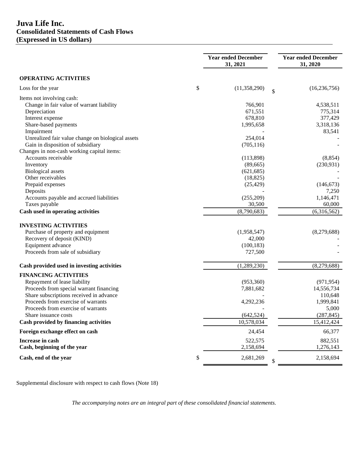## **Juva Life Inc. Consolidated Statements of Cash Flows (Expressed in US dollars)**

|                                                   | <b>Year ended December</b><br>31, 2021 | <b>Year ended December</b><br>31, 2020 |
|---------------------------------------------------|----------------------------------------|----------------------------------------|
| <b>OPERATING ACTIVITIES</b>                       |                                        |                                        |
| Loss for the year                                 | \$<br>(11, 358, 290)                   | \$<br>(16, 236, 756)                   |
| Items not involving cash:                         |                                        |                                        |
| Change in fair value of warrant liability         | 766,901                                | 4,538,511                              |
| Depreciation                                      | 671,551                                | 775,314                                |
| Interest expense                                  | 678,810                                | 377,429                                |
| Share-based payments                              | 1,995,658                              | 3,318,136                              |
| Impairment                                        |                                        | 83,541                                 |
| Unrealized fair value change on biological assets | 254,014                                |                                        |
| Gain in disposition of subsidiary                 | (705, 116)                             |                                        |
| Changes in non-cash working capital items:        |                                        |                                        |
| Accounts receivable                               | (113,898)                              | (8, 854)                               |
| Inventory                                         | (89,665)                               | (230,931)                              |
| <b>Biological</b> assets                          | (621, 685)                             |                                        |
| Other receivables                                 | (18, 825)                              |                                        |
| Prepaid expenses                                  | (25, 429)                              | (146, 673)                             |
| Deposits                                          |                                        | 7,250                                  |
| Accounts payable and accrued liabilities          | (255,209)                              | 1,146,471                              |
| Taxes payable                                     | 30,500                                 | 60,000                                 |
| Cash used in operating activities                 | (8,790,683)                            | (6,316,562)                            |
| <b>INVESTING ACTIVITIES</b>                       |                                        |                                        |
| Purchase of property and equipment                | (1,958,547)                            | (8,279,688)                            |
| Recovery of deposit (KIND)                        | 42,000                                 |                                        |
| Equipment advance                                 | (100, 183)                             |                                        |
| Proceeds from sale of subsidiary                  | 727,500                                |                                        |
| Cash provided used in investing activities        | (1,289,230)                            | (8,279,688)                            |
| <b>FINANCING ACTIVITIES</b>                       |                                        |                                        |
| Repayment of lease liability                      | (953,360)                              | (971, 954)                             |
| Proceeds from special warrant financing           | 7,881,682                              | 14,556,734                             |
| Share subscriptions received in advance           |                                        | 110,648                                |
| Proceeds from exercise of warrants                | 4,292,236                              | 1,999,841                              |
| Proceeds from exercise of warrants                |                                        | 5,000                                  |
| Share issuance costs                              | (642, 524)                             | (287, 845)                             |
| Cash provided by financing activities             | 10,578,034                             | 15,412,424                             |
| Foreign exchange effect on cash                   | 24,454                                 | 66,377                                 |
| Increase in cash                                  | 522,575                                | 882,551                                |
| Cash, beginning of the year                       | 2,158,694                              | 1,276,143                              |
| Cash, end of the year                             | \$<br>2,681,269                        | \$<br>2,158,694                        |

Supplemental disclosure with respect to cash flows (Note 18)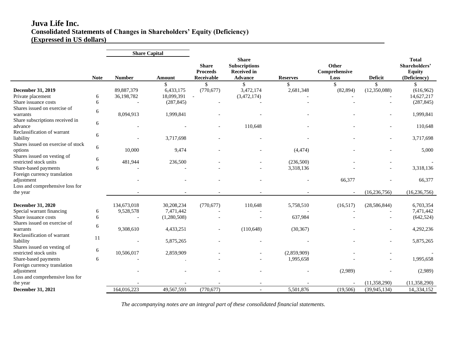## **Juva Life Inc. Consolidated Statements of Changes in Shareholders' Equity (Deficiency) (Expressed in US dollars)**

|                                                                         |             | <b>Share Capital</b> |             |                                               |                                                                              |                 |                                |                                  |                                                                |
|-------------------------------------------------------------------------|-------------|----------------------|-------------|-----------------------------------------------|------------------------------------------------------------------------------|-----------------|--------------------------------|----------------------------------|----------------------------------------------------------------|
|                                                                         | <b>Note</b> | <b>Number</b>        | Amount      | <b>Share</b><br><b>Proceeds</b><br>Receivable | <b>Share</b><br><b>Subscriptions</b><br><b>Received in</b><br><b>Advance</b> | <b>Reserves</b> | Other<br>Comprehensive<br>Loss | <b>Deficit</b>                   | <b>Total</b><br>Shareholders'<br><b>Equity</b><br>(Deficiency) |
|                                                                         |             |                      | \$          | \$                                            | \$                                                                           | ፍ               | \$.                            | \$                               | \$                                                             |
| <b>December 31, 2019</b>                                                |             | 89,887,379           | 6,433,175   | (770, 677)                                    | 3,472,174                                                                    | 2,681,348       | (82, 894)                      | (12,350,088)                     | (616,962)                                                      |
| Private placement                                                       | 6           | 36,198,782           | 18,099,391  |                                               | (3,472,174)                                                                  |                 |                                |                                  | 14,627,217                                                     |
| Share issuance costs                                                    | 6           |                      | (287, 845)  |                                               |                                                                              |                 |                                |                                  | (287, 845)                                                     |
| Shares issued on exercise of<br>warrants                                | 6           | 8,094,913            | 1,999,841   |                                               |                                                                              |                 |                                |                                  | 1,999,841                                                      |
| Share subscriptions received in<br>advance                              | 6           |                      |             |                                               | 110,648                                                                      |                 |                                |                                  | 110,648                                                        |
| Reclassification of warrant<br>liability                                | 6           |                      | 3,717,698   |                                               |                                                                              |                 |                                |                                  | 3,717,698                                                      |
| Shares issued on exercise of stock<br>options                           | 6           | 10,000               | 9,474       |                                               |                                                                              | (4, 474)        |                                |                                  | 5,000                                                          |
| Shares issued on vesting of<br>restricted stock units                   | 6           | 481,944              | 236,500     |                                               |                                                                              | (236,500)       |                                |                                  |                                                                |
| Share-based payments                                                    | 6           |                      |             |                                               |                                                                              | 3,318,136       |                                |                                  | 3,318,136                                                      |
| Foreign currency translation                                            |             |                      |             |                                               |                                                                              |                 |                                |                                  |                                                                |
| adjustment                                                              |             |                      |             |                                               |                                                                              |                 | 66,377                         |                                  | 66,377                                                         |
| Loss and comprehensive loss for<br>the year                             |             |                      |             |                                               |                                                                              |                 |                                | (16, 236, 756)                   | (16, 236, 756)                                                 |
| <b>December 31, 2020</b>                                                |             | 134,673,018          | 30,208,234  | (770, 677)                                    | 110,648                                                                      | 5,758,510       | (16,517)                       | (28, 586, 844)                   | 6,703,354                                                      |
| Special warrant financing                                               | 6           | 9,528,578            | 7,471,442   |                                               |                                                                              |                 |                                |                                  | 7,471,442                                                      |
| Share issuance costs                                                    | 6           |                      | (1,280,508) |                                               |                                                                              | 637,984         |                                |                                  | (642, 524)                                                     |
| Shares issued on exercise of<br>warrants                                | 6           | 9,308,610            | 4,433,251   |                                               | (110, 648)                                                                   | (30, 367)       |                                |                                  | 4,292,236                                                      |
| Reclassification of warrant<br>liability<br>Shares issued on vesting of | 11          |                      | 5,875,265   |                                               |                                                                              |                 |                                |                                  | 5,875,265                                                      |
| restricted stock units                                                  | 6           | 10,506,017           | 2,859,909   |                                               |                                                                              | (2,859,909)     |                                |                                  |                                                                |
| Share-based payments                                                    | 6           |                      |             |                                               |                                                                              | 1,995,658       |                                |                                  | 1,995,658                                                      |
| Foreign currency translation<br>adjustment                              |             |                      |             |                                               |                                                                              |                 | (2,989)                        |                                  | (2,989)                                                        |
| Loss and comprehensive loss for                                         |             |                      |             |                                               |                                                                              |                 |                                |                                  |                                                                |
| the year<br>December 31, 2021                                           |             | 164,016,223          | 49,567,593  | (770.677)                                     |                                                                              | 5.501.876       | (19.506)                       | (11, 358, 290)<br>(39, 945, 134) | (11, 358, 290)<br>14,,334,152                                  |
|                                                                         |             |                      |             |                                               |                                                                              |                 |                                |                                  |                                                                |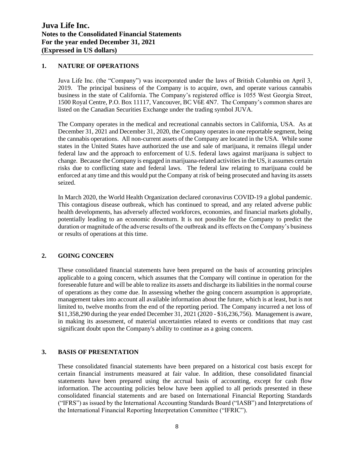#### **1. NATURE OF OPERATIONS**

Juva Life Inc. (the "Company") was incorporated under the laws of British Columbia on April 3, 2019. The principal business of the Company is to acquire, own, and operate various cannabis business in the state of California. The Company's registered office is 1055 West Georgia Street, 1500 Royal Centre, P.O. Box 11117, Vancouver, BC V6E 4N7. The Company's common shares are listed on the Canadian Securities Exchange under the trading symbol JUVA.

The Company operates in the medical and recreational cannabis sectors in California, USA. As at December 31, 2021 and December 31, 2020, the Company operates in one reportable segment, being the cannabis operations. All non-current assets of the Company are located in the USA. While some states in the United States have authorized the use and sale of marijuana, it remains illegal under federal law and the approach to enforcement of U.S. federal laws against marijuana is subject to change. Because the Company is engaged in marijuana-related activities in the US, it assumes certain risks due to conflicting state and federal laws. The federal law relating to marijuana could be enforced at any time and this would put the Company at risk of being prosecuted and having its assets seized.

In March 2020, the World Health Organization declared coronavirus COVID-19 a global pandemic. This contagious disease outbreak, which has continued to spread, and any related adverse public health developments, has adversely affected workforces, economies, and financial markets globally, potentially leading to an economic downturn. It is not possible for the Company to predict the duration or magnitude of the adverse results of the outbreak and its effects on the Company's business or results of operations at this time.

#### **2. GOING CONCERN**

These consolidated financial statements have been prepared on the basis of accounting principles applicable to a going concern, which assumes that the Company will continue in operation for the foreseeable future and will be able to realize its assets and discharge its liabilities in the normal course of operations as they come due. In assessing whether the going concern assumption is appropriate, management takes into account all available information about the future, which is at least, but is not limited to, twelve months from the end of the reporting period. The Company incurred a net loss of \$11,358,290 during the year ended December 31, 2021 (2020 - \$16,236,756). Management is aware, in making its assessment, of material uncertainties related to events or conditions that may cast significant doubt upon the Company's ability to continue as a going concern.

#### **3. BASIS OF PRESENTATION**

These consolidated financial statements have been prepared on a historical cost basis except for certain financial instruments measured at fair value. In addition, these consolidated financial statements have been prepared using the accrual basis of accounting, except for cash flow information. The accounting policies below have been applied to all periods presented in these consolidated financial statements and are based on International Financial Reporting Standards ("IFRS") as issued by the International Accounting Standards Board ("IASB") and Interpretations of the International Financial Reporting Interpretation Committee ("IFRIC").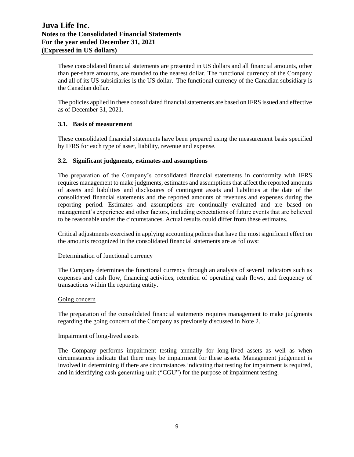These consolidated financial statements are presented in US dollars and all financial amounts, other than per-share amounts, are rounded to the nearest dollar. The functional currency of the Company and all of its US subsidiaries is the US dollar. The functional currency of the Canadian subsidiary is the Canadian dollar.

The policies applied in these consolidated financial statements are based on IFRS issued and effective as of December 31, 2021.

#### **3.1. Basis of measurement**

These consolidated financial statements have been prepared using the measurement basis specified by IFRS for each type of asset, liability, revenue and expense.

#### **3.2. Significant judgments, estimates and assumptions**

The preparation of the Company's consolidated financial statements in conformity with IFRS requires management to make judgments, estimates and assumptions that affect the reported amounts of assets and liabilities and disclosures of contingent assets and liabilities at the date of the consolidated financial statements and the reported amounts of revenues and expenses during the reporting period. Estimates and assumptions are continually evaluated and are based on management's experience and other factors, including expectations of future events that are believed to be reasonable under the circumstances. Actual results could differ from these estimates.

Critical adjustments exercised in applying accounting polices that have the most significant effect on the amounts recognized in the consolidated financial statements are as follows:

#### Determination of functional currency

The Company determines the functional currency through an analysis of several indicators such as expenses and cash flow, financing activities, retention of operating cash flows, and frequency of transactions within the reporting entity.

#### Going concern

The preparation of the consolidated financial statements requires management to make judgments regarding the going concern of the Company as previously discussed in Note 2.

#### Impairment of long-lived assets

The Company performs impairment testing annually for long-lived assets as well as when circumstances indicate that there may be impairment for these assets. Management judgement is involved in determining if there are circumstances indicating that testing for impairment is required, and in identifying cash generating unit ("CGU") for the purpose of impairment testing.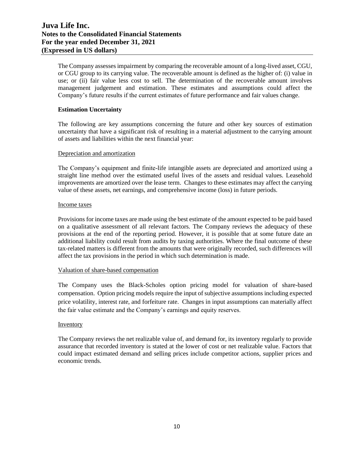The Company assesses impairment by comparing the recoverable amount of a long-lived asset, CGU, or CGU group to its carrying value. The recoverable amount is defined as the higher of: (i) value in use; or (ii) fair value less cost to sell. The determination of the recoverable amount involves management judgement and estimation. These estimates and assumptions could affect the Company's future results if the current estimates of future performance and fair values change.

#### **Estimation Uncertainty**

The following are key assumptions concerning the future and other key sources of estimation uncertainty that have a significant risk of resulting in a material adjustment to the carrying amount of assets and liabilities within the next financial year:

#### Depreciation and amortization

The Company's equipment and finite-life intangible assets are depreciated and amortized using a straight line method over the estimated useful lives of the assets and residual values. Leasehold improvements are amortized over the lease term. Changes to these estimates may affect the carrying value of these assets, net earnings, and comprehensive income (loss) in future periods.

#### Income taxes

Provisions for income taxes are made using the best estimate of the amount expected to be paid based on a qualitative assessment of all relevant factors. The Company reviews the adequacy of these provisions at the end of the reporting period. However, it is possible that at some future date an additional liability could result from audits by taxing authorities. Where the final outcome of these tax-related matters is different from the amounts that were originally recorded, such differences will affect the tax provisions in the period in which such determination is made.

#### Valuation of share-based compensation

The Company uses the Black-Scholes option pricing model for valuation of share-based compensation. Option pricing models require the input of subjective assumptions including expected price volatility, interest rate, and forfeiture rate. Changes in input assumptions can materially affect the fair value estimate and the Company's earnings and equity reserves.

#### Inventory

The Company reviews the net realizable value of, and demand for, its inventory regularly to provide assurance that recorded inventory is stated at the lower of cost or net realizable value. Factors that could impact estimated demand and selling prices include competitor actions, supplier prices and economic trends.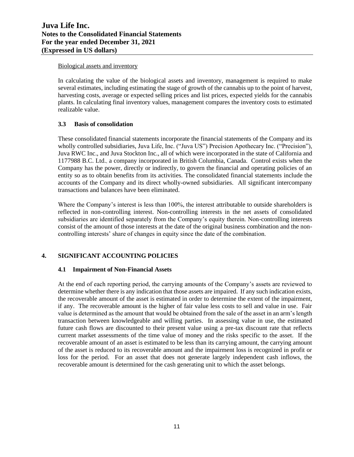#### Biological assets and inventory

In calculating the value of the biological assets and inventory, management is required to make several estimates, including estimating the stage of growth of the cannabis up to the point of harvest, harvesting costs, average or expected selling prices and list prices, expected yields for the cannabis plants. In calculating final inventory values, management compares the inventory costs to estimated realizable value.

#### **3.3 Basis of consolidation**

These consolidated financial statements incorporate the financial statements of the Company and its wholly controlled subsidiaries, Juva Life, Inc. ("Juva US") Precision Apothecary Inc. ("Precision"), Juva RWC Inc., and Juva Stockton Inc., all of which were incorporated in the state of California and 1177988 B.C. Ltd., a company incorporated in British Columbia, Canada. Control exists when the Company has the power, directly or indirectly, to govern the financial and operating policies of an entity so as to obtain benefits from its activities. The consolidated financial statements include the accounts of the Company and its direct wholly-owned subsidiaries. All significant intercompany transactions and balances have been eliminated.

Where the Company's interest is less than 100%, the interest attributable to outside shareholders is reflected in non-controlling interest. Non-controlling interests in the net assets of consolidated subsidiaries are identified separately from the Company's equity therein. Non-controlling interests consist of the amount of those interests at the date of the original business combination and the noncontrolling interests' share of changes in equity since the date of the combination.

## **4. SIGNIFICANT ACCOUNTING POLICIES**

#### **4.1 Impairment of Non-Financial Assets**

At the end of each reporting period, the carrying amounts of the Company's assets are reviewed to determine whether there is any indication that those assets are impaired. If any such indication exists, the recoverable amount of the asset is estimated in order to determine the extent of the impairment, if any. The recoverable amount is the higher of fair value less costs to sell and value in use. Fair value is determined as the amount that would be obtained from the sale of the asset in an arm's length transaction between knowledgeable and willing parties. In assessing value in use, the estimated future cash flows are discounted to their present value using a pre-tax discount rate that reflects current market assessments of the time value of money and the risks specific to the asset. If the recoverable amount of an asset is estimated to be less than its carrying amount, the carrying amount of the asset is reduced to its recoverable amount and the impairment loss is recognized in profit or loss for the period. For an asset that does not generate largely independent cash inflows, the recoverable amount is determined for the cash generating unit to which the asset belongs.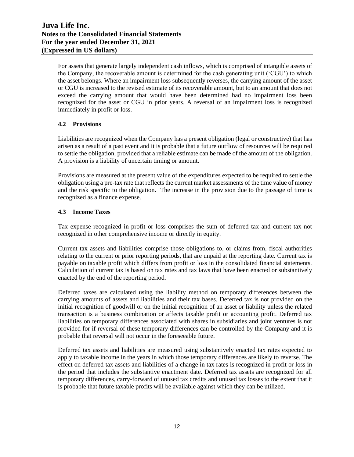For assets that generate largely independent cash inflows, which is comprised of intangible assets of the Company, the recoverable amount is determined for the cash generating unit ('CGU') to which the asset belongs. Where an impairment loss subsequently reverses, the carrying amount of the asset or CGU is increased to the revised estimate of its recoverable amount, but to an amount that does not exceed the carrying amount that would have been determined had no impairment loss been recognized for the asset or CGU in prior years. A reversal of an impairment loss is recognized immediately in profit or loss.

#### **4.2 Provisions**

Liabilities are recognized when the Company has a present obligation (legal or constructive) that has arisen as a result of a past event and it is probable that a future outflow of resources will be required to settle the obligation, provided that a reliable estimate can be made of the amount of the obligation. A provision is a liability of uncertain timing or amount.

Provisions are measured at the present value of the expenditures expected to be required to settle the obligation using a pre-tax rate that reflects the current market assessments of the time value of money and the risk specific to the obligation. The increase in the provision due to the passage of time is recognized as a finance expense.

#### **4.3 Income Taxes**

Tax expense recognized in profit or loss comprises the sum of deferred tax and current tax not recognized in other comprehensive income or directly in equity.

Current tax assets and liabilities comprise those obligations to, or claims from, fiscal authorities relating to the current or prior reporting periods, that are unpaid at the reporting date. Current tax is payable on taxable profit which differs from profit or loss in the consolidated financial statements. Calculation of current tax is based on tax rates and tax laws that have been enacted or substantively enacted by the end of the reporting period.

Deferred taxes are calculated using the liability method on temporary differences between the carrying amounts of assets and liabilities and their tax bases. Deferred tax is not provided on the initial recognition of goodwill or on the initial recognition of an asset or liability unless the related transaction is a business combination or affects taxable profit or accounting profit. Deferred tax liabilities on temporary differences associated with shares in subsidiaries and joint ventures is not provided for if reversal of these temporary differences can be controlled by the Company and it is probable that reversal will not occur in the foreseeable future.

Deferred tax assets and liabilities are measured using substantively enacted tax rates expected to apply to taxable income in the years in which those temporary differences are likely to reverse. The effect on deferred tax assets and liabilities of a change in tax rates is recognized in profit or loss in the period that includes the substantive enactment date. Deferred tax assets are recognized for all temporary differences, carry-forward of unused tax credits and unused tax losses to the extent that it is probable that future taxable profits will be available against which they can be utilized.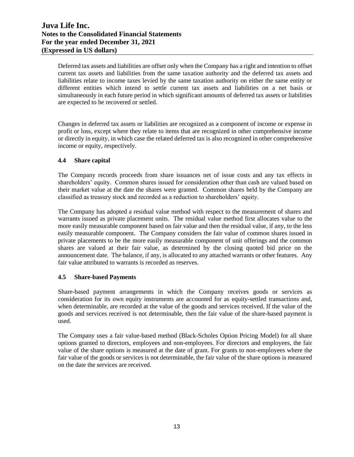Deferred tax assets and liabilities are offset only when the Company has a right and intention to offset current tax assets and liabilities from the same taxation authority and the deferred tax assets and liabilities relate to income taxes levied by the same taxation authority on either the same entity or different entities which intend to settle current tax assets and liabilities on a net basis or simultaneously in each future period in which significant amounts of deferred tax assets or liabilities are expected to be recovered or settled.

Changes in deferred tax assets or liabilities are recognized as a component of income or expense in profit or loss, except where they relate to items that are recognized in other comprehensive income or directly in equity, in which case the related deferred tax is also recognized in other comprehensive income or equity, respectively.

#### **4.4 Share capital**

The Company records proceeds from share issuances net of issue costs and any tax effects in shareholders' equity. Common shares issued for consideration other than cash are valued based on their market value at the date the shares were granted. Common shares held by the Company are classified as treasury stock and recorded as a reduction to shareholders' equity.

The Company has adopted a residual value method with respect to the measurement of shares and warrants issued as private placement units. The residual value method first allocates value to the more easily measurable component based on fair value and then the residual value, if any, to the less easily measurable component. The Company considers the fair value of common shares issued in private placements to be the more easily measurable component of unit offerings and the common shares are valued at their fair value, as determined by the closing quoted bid price on the announcement date. The balance, if any, is allocated to any attached warrants or other features. Any fair value attributed to warrants is recorded as reserves.

#### **4.5 Share-based Payments**

Share-based payment arrangements in which the Company receives goods or services as consideration for its own equity instruments are accounted for as equity-settled transactions and, when determinable, are recorded at the value of the goods and services received. If the value of the goods and services received is not determinable, then the fair value of the share-based payment is used.

The Company uses a fair value-based method (Black-Scholes Option Pricing Model) for all share options granted to directors, employees and non-employees. For directors and employees, the fair value of the share options is measured at the date of grant. For grants to non-employees where the fair value of the goods or services is not determinable, the fair value of the share options is measured on the date the services are received.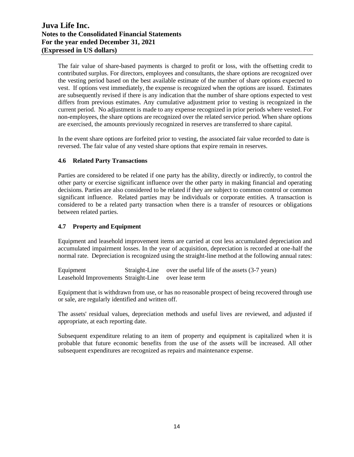The fair value of share-based payments is charged to profit or loss, with the offsetting credit to contributed surplus. For directors, employees and consultants, the share options are recognized over the vesting period based on the best available estimate of the number of share options expected to vest. If options vest immediately, the expense is recognized when the options are issued. Estimates are subsequently revised if there is any indication that the number of share options expected to vest differs from previous estimates. Any cumulative adjustment prior to vesting is recognized in the current period. No adjustment is made to any expense recognized in prior periods where vested. For non-employees, the share options are recognized over the related service period. When share options are exercised, the amounts previously recognized in reserves are transferred to share capital.

In the event share options are forfeited prior to vesting, the associated fair value recorded to date is reversed. The fair value of any vested share options that expire remain in reserves.

#### **4.6 Related Party Transactions**

Parties are considered to be related if one party has the ability, directly or indirectly, to control the other party or exercise significant influence over the other party in making financial and operating decisions. Parties are also considered to be related if they are subject to common control or common significant influence. Related parties may be individuals or corporate entities. A transaction is considered to be a related party transaction when there is a transfer of resources or obligations between related parties.

#### **4.7 Property and Equipment**

Equipment and leasehold improvement items are carried at cost less accumulated depreciation and accumulated impairment losses. In the year of acquisition, depreciation is recorded at one-half the normal rate. Depreciation is recognized using the straight-line method at the following annual rates:

Equipment Straight-Line over the useful life of the assets (3-7 years) Leasehold Improvements Straight-Line over lease term

Equipment that is withdrawn from use, or has no reasonable prospect of being recovered through use or sale, are regularly identified and written off.

The assets' residual values, depreciation methods and useful lives are reviewed, and adjusted if appropriate, at each reporting date.

Subsequent expenditure relating to an item of property and equipment is capitalized when it is probable that future economic benefits from the use of the assets will be increased. All other subsequent expenditures are recognized as repairs and maintenance expense.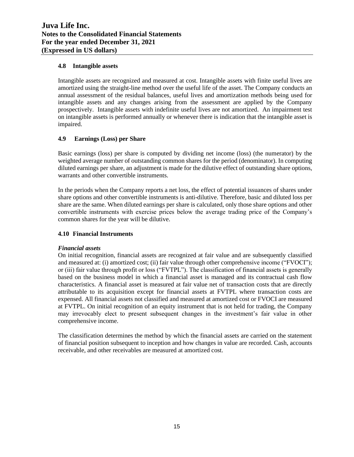#### **4.8 Intangible assets**

Intangible assets are recognized and measured at cost. Intangible assets with finite useful lives are amortized using the straight-line method over the useful life of the asset. The Company conducts an annual assessment of the residual balances, useful lives and amortization methods being used for intangible assets and any changes arising from the assessment are applied by the Company prospectively. Intangible assets with indefinite useful lives are not amortized. An impairment test on intangible assets is performed annually or whenever there is indication that the intangible asset is impaired.

#### **4.9 Earnings (Loss) per Share**

Basic earnings (loss) per share is computed by dividing net income (loss) (the numerator) by the weighted average number of outstanding common shares for the period (denominator). In computing diluted earnings per share, an adjustment is made for the dilutive effect of outstanding share options, warrants and other convertible instruments.

In the periods when the Company reports a net loss, the effect of potential issuances of shares under share options and other convertible instruments is anti-dilutive. Therefore, basic and diluted loss per share are the same. When diluted earnings per share is calculated, only those share options and other convertible instruments with exercise prices below the average trading price of the Company's common shares for the year will be dilutive.

#### **4.10 Financial Instruments**

#### *Financial assets*

On initial recognition, financial assets are recognized at fair value and are subsequently classified and measured at: (i) amortized cost; (ii) fair value through other comprehensive income ("FVOCI"); or (iii) fair value through profit or loss ("FVTPL"). The classification of financial assets is generally based on the business model in which a financial asset is managed and its contractual cash flow characteristics. A financial asset is measured at fair value net of transaction costs that are directly attributable to its acquisition except for financial assets at FVTPL where transaction costs are expensed. All financial assets not classified and measured at amortized cost or FVOCI are measured at FVTPL. On initial recognition of an equity instrument that is not held for trading, the Company may irrevocably elect to present subsequent changes in the investment's fair value in other comprehensive income.

The classification determines the method by which the financial assets are carried on the statement of financial position subsequent to inception and how changes in value are recorded. Cash, accounts receivable, and other receivables are measured at amortized cost.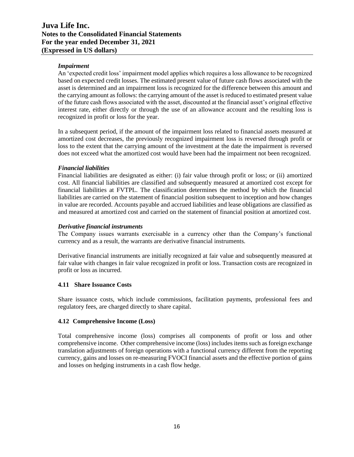#### *Impairment*

An 'expected credit loss' impairment model applies which requires a loss allowance to be recognized based on expected credit losses. The estimated present value of future cash flows associated with the asset is determined and an impairment loss is recognized for the difference between this amount and the carrying amount as follows: the carrying amount of the asset is reduced to estimated present value of the future cash flows associated with the asset, discounted at the financial asset's original effective interest rate, either directly or through the use of an allowance account and the resulting loss is recognized in profit or loss for the year.

In a subsequent period, if the amount of the impairment loss related to financial assets measured at amortized cost decreases, the previously recognized impairment loss is reversed through profit or loss to the extent that the carrying amount of the investment at the date the impairment is reversed does not exceed what the amortized cost would have been had the impairment not been recognized.

#### *Financial liabilities*

Financial liabilities are designated as either: (i) fair value through profit or loss; or (ii) amortized cost. All financial liabilities are classified and subsequently measured at amortized cost except for financial liabilities at FVTPL. The classification determines the method by which the financial liabilities are carried on the statement of financial position subsequent to inception and how changes in value are recorded. Accounts payable and accrued liabilities and lease obligations are classified as and measured at amortized cost and carried on the statement of financial position at amortized cost.

#### *Derivative financial instruments*

The Company issues warrants exercisable in a currency other than the Company's functional currency and as a result, the warrants are derivative financial instruments.

Derivative financial instruments are initially recognized at fair value and subsequently measured at fair value with changes in fair value recognized in profit or loss. Transaction costs are recognized in profit or loss as incurred.

#### **4.11 Share Issuance Costs**

Share issuance costs, which include commissions, facilitation payments, professional fees and regulatory fees, are charged directly to share capital.

#### **4.12 Comprehensive Income (Loss)**

Total comprehensive income (loss) comprises all components of profit or loss and other comprehensive income. Other comprehensive income (loss) includes items such as foreign exchange translation adjustments of foreign operations with a functional currency different from the reporting currency, gains and losses on re-measuring FVOCI financial assets and the effective portion of gains and losses on hedging instruments in a cash flow hedge.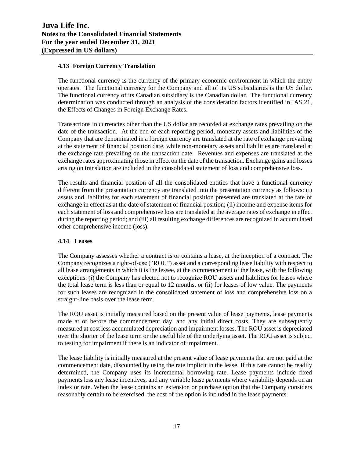#### **4.13 Foreign Currency Translation**

The functional currency is the currency of the primary economic environment in which the entity operates. The functional currency for the Company and all of its US subsidiaries is the US dollar. The functional currency of its Canadian subsidiary is the Canadian dollar. The functional currency determination was conducted through an analysis of the consideration factors identified in IAS 21, the Effects of Changes in Foreign Exchange Rates.

Transactions in currencies other than the US dollar are recorded at exchange rates prevailing on the date of the transaction. At the end of each reporting period, monetary assets and liabilities of the Company that are denominated in a foreign currency are translated at the rate of exchange prevailing at the statement of financial position date, while non-monetary assets and liabilities are translated at the exchange rate prevailing on the transaction date. Revenues and expenses are translated at the exchange rates approximating those in effect on the date of the transaction. Exchange gains and losses arising on translation are included in the consolidated statement of loss and comprehensive loss.

The results and financial position of all the consolidated entities that have a functional currency different from the presentation currency are translated into the presentation currency as follows: (i) assets and liabilities for each statement of financial position presented are translated at the rate of exchange in effect as at the date of statement of financial position; (ii) income and expense items for each statement of loss and comprehensive loss are translated at the average rates of exchange in effect during the reporting period; and (iii) all resulting exchange differences are recognized in accumulated other comprehensive income (loss).

#### **4.14 Leases**

The Company assesses whether a contract is or contains a lease, at the inception of a contract. The Company recognizes a right-of-use ("ROU") asset and a corresponding lease liability with respect to all lease arrangements in which it is the lessee, at the commencement of the lease, with the following exceptions: (i) the Company has elected not to recognize ROU assets and liabilities for leases where the total lease term is less than or equal to 12 months, or (ii) for leases of low value. The payments for such leases are recognized in the consolidated statement of loss and comprehensive loss on a straight-line basis over the lease term.

The ROU asset is initially measured based on the present value of lease payments, lease payments made at or before the commencement day, and any initial direct costs. They are subsequently measured at cost less accumulated depreciation and impairment losses. The ROU asset is depreciated over the shorter of the lease term or the useful life of the underlying asset. The ROU asset is subject to testing for impairment if there is an indicator of impairment.

The lease liability is initially measured at the present value of lease payments that are not paid at the commencement date, discounted by using the rate implicit in the lease. If this rate cannot be readily determined, the Company uses its incremental borrowing rate. Lease payments include fixed payments less any lease incentives, and any variable lease payments where variability depends on an index or rate. When the lease contains an extension or purchase option that the Company considers reasonably certain to be exercised, the cost of the option is included in the lease payments.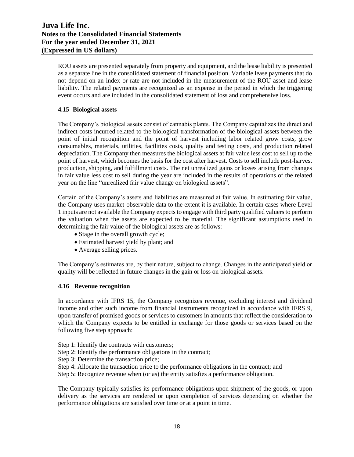ROU assets are presented separately from property and equipment, and the lease liability is presented as a separate line in the consolidated statement of financial position. Variable lease payments that do not depend on an index or rate are not included in the measurement of the ROU asset and lease liability. The related payments are recognized as an expense in the period in which the triggering event occurs and are included in the consolidated statement of loss and comprehensive loss.

#### **4.15 Biological assets**

The Company's biological assets consist of cannabis plants. The Company capitalizes the direct and indirect costs incurred related to the biological transformation of the biological assets between the point of initial recognition and the point of harvest including labor related grow costs, grow consumables, materials, utilities, facilities costs, quality and testing costs, and production related depreciation. The Company then measures the biological assets at fair value less cost to sell up to the point of harvest, which becomes the basis for the cost after harvest. Costs to sell include post-harvest production, shipping, and fulfillment costs. The net unrealized gains or losses arising from changes in fair value less cost to sell during the year are included in the results of operations of the related year on the line "unrealized fair value change on biological assets".

Certain of the Company's assets and liabilities are measured at fair value. In estimating fair value, the Company uses market-observable data to the extent it is available. In certain cases where Level 1 inputs are not available the Company expects to engage with third party qualified valuers to perform the valuation when the assets are expected to be material. The significant assumptions used in determining the fair value of the biological assets are as follows:

- Stage in the overall growth cycle;
- Estimated harvest yield by plant; and
- Average selling prices.

The Company's estimates are, by their nature, subject to change. Changes in the anticipated yield or quality will be reflected in future changes in the gain or loss on biological assets.

#### **4.16 Revenue recognition**

In accordance with IFRS 15, the Company recognizes revenue, excluding interest and dividend income and other such income from financial instruments recognized in accordance with IFRS 9, upon transfer of promised goods or services to customers in amounts that reflect the consideration to which the Company expects to be entitled in exchange for those goods or services based on the following five step approach:

- Step 1: Identify the contracts with customers;
- Step 2: Identify the performance obligations in the contract;
- Step 3: Determine the transaction price;
- Step 4: Allocate the transaction price to the performance obligations in the contract; and
- Step 5: Recognize revenue when (or as) the entity satisfies a performance obligation.

The Company typically satisfies its performance obligations upon shipment of the goods, or upon delivery as the services are rendered or upon completion of services depending on whether the performance obligations are satisfied over time or at a point in time.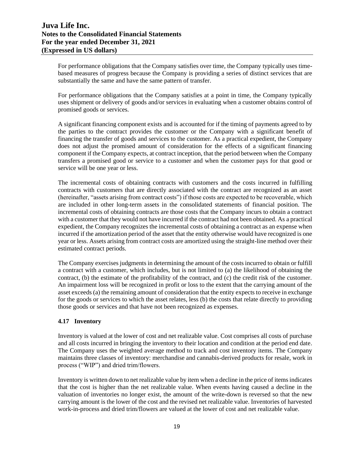For performance obligations that the Company satisfies over time, the Company typically uses timebased measures of progress because the Company is providing a series of distinct services that are substantially the same and have the same pattern of transfer.

For performance obligations that the Company satisfies at a point in time, the Company typically uses shipment or delivery of goods and/or services in evaluating when a customer obtains control of promised goods or services.

A significant financing component exists and is accounted for if the timing of payments agreed to by the parties to the contract provides the customer or the Company with a significant benefit of financing the transfer of goods and services to the customer. As a practical expedient, the Company does not adjust the promised amount of consideration for the effects of a significant financing component if the Company expects, at contract inception, that the period between when the Company transfers a promised good or service to a customer and when the customer pays for that good or service will be one year or less.

The incremental costs of obtaining contracts with customers and the costs incurred in fulfilling contracts with customers that are directly associated with the contract are recognized as an asset (hereinafter, "assets arising from contract costs") if those costs are expected to be recoverable, which are included in other long-term assets in the consolidated statements of financial position. The incremental costs of obtaining contracts are those costs that the Company incurs to obtain a contract with a customer that they would not have incurred if the contract had not been obtained. As a practical expedient, the Company recognizes the incremental costs of obtaining a contract as an expense when incurred if the amortization period of the asset that the entity otherwise would have recognized is one year or less. Assets arising from contract costs are amortized using the straight-line method over their estimated contract periods.

The Company exercises judgments in determining the amount of the costs incurred to obtain or fulfill a contract with a customer, which includes, but is not limited to (a) the likelihood of obtaining the contract, (b) the estimate of the profitability of the contract, and (c) the credit risk of the customer. An impairment loss will be recognized in profit or loss to the extent that the carrying amount of the asset exceeds (a) the remaining amount of consideration that the entity expects to receive in exchange for the goods or services to which the asset relates, less (b) the costs that relate directly to providing those goods or services and that have not been recognized as expenses.

#### **4.17 Inventory**

Inventory is valued at the lower of cost and net realizable value. Cost comprises all costs of purchase and all costs incurred in bringing the inventory to their location and condition at the period end date. The Company uses the weighted average method to track and cost inventory items. The Company maintains three classes of inventory: merchandise and cannabis-derived products for resale, work in process ("WIP") and dried trim/flowers.

Inventory is written down to net realizable value by item when a decline in the price of items indicates that the cost is higher than the net realizable value. When events having caused a decline in the valuation of inventories no longer exist, the amount of the write-down is reversed so that the new carrying amount is the lower of the cost and the revised net realizable value. Inventories of harvested work-in-process and dried trim/flowers are valued at the lower of cost and net realizable value.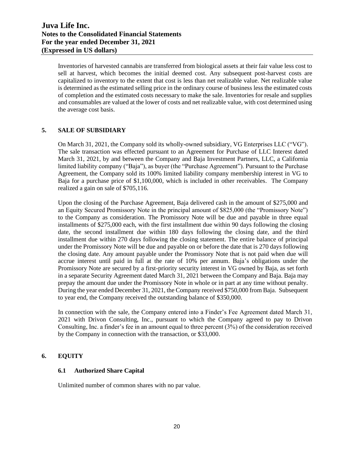Inventories of harvested cannabis are transferred from biological assets at their fair value less cost to sell at harvest, which becomes the initial deemed cost. Any subsequent post-harvest costs are capitalized to inventory to the extent that cost is less than net realizable value. Net realizable value is determined as the estimated selling price in the ordinary course of business less the estimated costs of completion and the estimated costs necessary to make the sale. Inventories for resale and supplies and consumables are valued at the lower of costs and net realizable value, with cost determined using the average cost basis.

#### **5. SALE OF SUBSIDIARY**

On March 31, 2021, the Company sold its wholly-owned subsidiary, VG Enterprises LLC ("VG"). The sale transaction was effected pursuant to an Agreement for Purchase of LLC Interest dated March 31, 2021, by and between the Company and Baja Investment Partners, LLC, a California limited liability company ("Baja"), as buyer (the "Purchase Agreement"). Pursuant to the Purchase Agreement, the Company sold its 100% limited liability company membership interest in VG to Baja for a purchase price of \$1,100,000, which is included in other receivables. The Company realized a gain on sale of \$705,116.

Upon the closing of the Purchase Agreement, Baja delivered cash in the amount of \$275,000 and an Equity Secured Promissory Note in the principal amount of \$825,000 (the "Promissory Note") to the Company as consideration. The Promissory Note will be due and payable in three equal installments of \$275,000 each, with the first installment due within 90 days following the closing date, the second installment due within 180 days following the closing date, and the third installment due within 270 days following the closing statement. The entire balance of principal under the Promissory Note will be due and payable on or before the date that is 270 days following the closing date. Any amount payable under the Promissory Note that is not paid when due will accrue interest until paid in full at the rate of 10% per annum. Baja's obligations under the Promissory Note are secured by a first-priority security interest in VG owned by Baja, as set forth in a separate Security Agreement dated March 31, 2021 between the Company and Baja. Baja may prepay the amount due under the Promissory Note in whole or in part at any time without penalty. During the year ended December 31, 2021, the Company received \$750,000 from Baja. Subsequent to year end, the Company received the outstanding balance of \$350,000.

In connection with the sale, the Company entered into a Finder's Fee Agreement dated March 31, 2021 with Drivon Consulting, Inc., pursuant to which the Company agreed to pay to Drivon Consulting, Inc. a finder's fee in an amount equal to three percent (3%) of the consideration received by the Company in connection with the transaction, or \$33,000.

#### **6. EQUITY**

#### **6.1 Authorized Share Capital**

Unlimited number of common shares with no par value.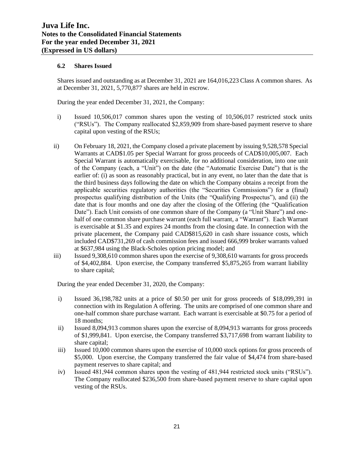#### **6.2 Shares Issued**

Shares issued and outstanding as at December 31, 2021 are 164,016,223 Class A common shares. As at December 31, 2021, 5,770,877 shares are held in escrow.

During the year ended December 31, 2021, the Company:

- i) Issued 10,506,017 common shares upon the vesting of 10,506,017 restricted stock units ("RSUs"). The Company reallocated \$2,859,909 from share-based payment reserve to share capital upon vesting of the RSUs;
- ii) On February 18, 2021, the Company closed a private placement by issuing 9,528,578 Special Warrants at CAD\$1.05 per Special Warrant for gross proceeds of CAD\$10,005,007. Each Special Warrant is automatically exercisable, for no additional consideration, into one unit of the Company (each, a "Unit") on the date (the "Automatic Exercise Date") that is the earlier of: (i) as soon as reasonably practical, but in any event, no later than the date that is the third business days following the date on which the Company obtains a receipt from the applicable securities regulatory authorities (the "Securities Commissions") for a (final) prospectus qualifying distribution of the Units (the "Qualifying Prospectus"), and (ii) the date that is four months and one day after the closing of the Offering (the "Qualification Date"). Each Unit consists of one common share of the Company (a "Unit Share") and onehalf of one common share purchase warrant (each full warrant, a "Warrant"). Each Warrant is exercisable at \$1.35 and expires 24 months from the closing date. In connection with the private placement, the Company paid CAD\$815,620 in cash share issuance costs, which included CAD\$731,269 of cash commission fees and issued 666,999 broker warrants valued at \$637,984 using the Black-Scholes option pricing model; and
- iii) Issued 9,308,610 common shares upon the exercise of 9,308,610 warrants for gross proceeds of \$4,402,884. Upon exercise, the Company transferred \$5,875,265 from warrant liability to share capital;

During the year ended December 31, 2020, the Company:

- i) Issued 36,198,782 units at a price of \$0.50 per unit for gross proceeds of \$18,099,391 in connection with its Regulation A offering. The units are comprised of one common share and one-half common share purchase warrant. Each warrant is exercisable at \$0.75 for a period of 18 months;
- ii) Issued 8,094,913 common shares upon the exercise of 8,094,913 warrants for gross proceeds of \$1,999,841. Upon exercise, the Company transferred \$3,717,698 from warrant liability to share capital;
- iii) Issued 10,000 common shares upon the exercise of 10,000 stock options for gross proceeds of \$5,000. Upon exercise, the Company transferred the fair value of \$4,474 from share-based payment reserves to share capital; and
- iv) Issued 481,944 common shares upon the vesting of 481,944 restricted stock units ("RSUs"). The Company reallocated \$236,500 from share-based payment reserve to share capital upon vesting of the RSUs.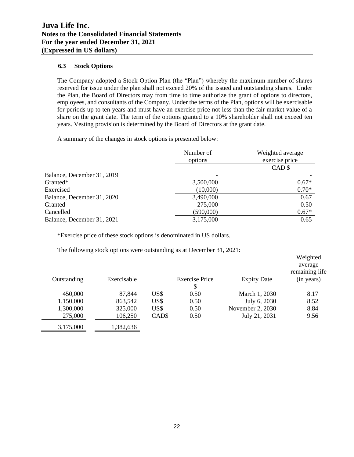#### **6.3 Stock Options**

The Company adopted a Stock Option Plan (the "Plan") whereby the maximum number of shares reserved for issue under the plan shall not exceed 20% of the issued and outstanding shares. Under the Plan, the Board of Directors may from time to time authorize the grant of options to directors, employees, and consultants of the Company. Under the terms of the Plan, options will be exercisable for periods up to ten years and must have an exercise price not less than the fair market value of a share on the grant date. The term of the options granted to a 10% shareholder shall not exceed ten years. Vesting provision is determined by the Board of Directors at the grant date.

A summary of the changes in stock options is presented below:

|                            | Number of<br>options | Weighted average<br>exercise price |
|----------------------------|----------------------|------------------------------------|
|                            |                      | $CAD$ \$                           |
| Balance, December 31, 2019 |                      |                                    |
| Granted*                   | 3,500,000            | $0.67*$                            |
| Exercised                  | (10,000)             | $0.70*$                            |
| Balance, December 31, 2020 | 3,490,000            | 0.67                               |
| Granted                    | 275,000              | 0.50                               |
| Cancelled                  | (590,000)            | $0.67*$                            |
| Balance, December 31, 2021 | 3,175,000            | 0.65                               |

\*Exercise price of these stock options is denominated in US dollars.

The following stock options were outstanding as at December 31, 2021:

| Outstanding | Exercisable |                   | <b>Exercise Price</b> | <b>Expiry Date</b> | Weighted<br>average<br>remaining life<br>(in years) |
|-------------|-------------|-------------------|-----------------------|--------------------|-----------------------------------------------------|
|             |             |                   | \$                    |                    |                                                     |
| 450,000     | 87,844      | US\$              | 0.50                  | March 1, 2030      | 8.17                                                |
| 1,150,000   | 863,542     | US\$              | 0.50                  | July 6, 2030       | 8.52                                                |
| 1,300,000   | 325,000     | US\$              | 0.50                  | November 2, 2030   | 8.84                                                |
| 275,000     | 106,250     | CAD <sub>\$</sub> | 0.50                  | July 21, 2031      | 9.56                                                |
| 3,175,000   | 1,382,636   |                   |                       |                    |                                                     |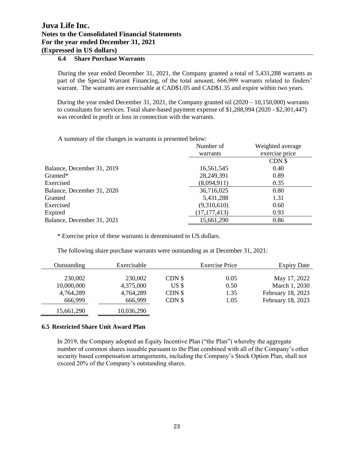#### **6.4 Share Purchase Warrants**

During the year ended December 31, 2021, the Company granted a total of 5,431,288 warrants as part of the Special Warrant Financing, of the total amount, 666,999 warrants related to finders' warrant. The warrants are exercisable at CAD\$1.05 and CAD\$1.35 and expire within two years.

During the year ended December 31, 2021, the Company granted nil (2020 – 10,150,000) warrants to consultants for services. Total share-based payment expense of \$1,288,994 (2020 - \$2,301,447) was recorded in profit or loss in connection with the warrants.

A summary of the changes in warrants is presented below:

|                            | Number of      | Weighted average |
|----------------------------|----------------|------------------|
|                            | warrants       | exercise price   |
|                            |                | CDN \$           |
| Balance, December 31, 2019 | 16,561,545     | 0.40             |
| Granted*                   | 28,249,391     | 0.89             |
| Exercised                  | (8,094,911)    | 0.35             |
| Balance, December 31, 2020 | 36,716,025     | 0.80             |
| Granted                    | 5,431,288      | 1.31             |
| Exercised                  | (9,310,610)    | 0.60             |
| Expired                    | (17, 177, 413) | 0.93             |
| Balance, December 31, 2021 | 15,661,290     | 0.86             |

\* Exercise price of these warrants is denominated in US dollars.

The following share purchase warrants were outstanding as at December 31, 2021:

| Outstanding | Exercisable |                   | <b>Exercise Price</b> | <b>Expiry Date</b> |
|-------------|-------------|-------------------|-----------------------|--------------------|
|             |             |                   |                       |                    |
| 230,002     | 230,002     | CDN \$            | 0.05                  | May 17, 2022       |
| 10,000,000  | 4,375,000   | US \$             | 0.50                  | March 1, 2030      |
| 4,764,289   | 4,764,289   | CDN \$            | 1.35                  | February 18, 2023  |
| 666,999     | 666,999     | CDN <sub>\$</sub> | 1.05                  | February 18, 2023  |
| 15,661,290  | 10,036,290  |                   |                       |                    |

#### **6.5 Restricted Share Unit Award Plan**

In 2019, the Company adopted an Equity Incentive Plan ("the Plan") whereby the aggregate number of common shares issuable pursuant to the Plan combined with all of the Company's other security based compensation arrangements, including the Company's Stock Option Plan, shall not exceed 20% of the Company's outstanding shares.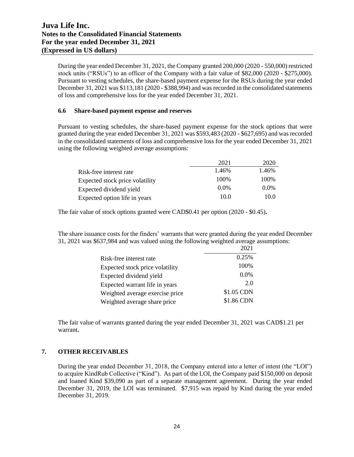During the year ended December 31, 2021, the Company granted 200,000 (2020 - 550,000) restricted stock units ("RSUs") to an officer of the Company with a fair value of \$82,000 (2020 - \$275,000). Pursuant to vesting schedules, the share-based payment expense for the RSUs during the year ended December 31, 2021 was \$113,181 (2020 - \$388,994) and was recorded in the consolidated statements of loss and comprehensive loss for the year ended December 31, 2021.

#### **6.6 Share-based payment expense and reserves**

Pursuant to vesting schedules, the share-based payment expense for the stock options that were granted during the year ended December 31, 2021 was \$593,483 (2020 - \$627,695) and was recorded in the consolidated statements of loss and comprehensive loss for the year ended December 31, 2021 using the following weighted average assumptions:

|                                 | 2021    | 2020    |
|---------------------------------|---------|---------|
| Risk-free interest rate         | 1.46%   | 1.46%   |
| Expected stock price volatility | 100\%   | 100\%   |
| Expected dividend yield         | $0.0\%$ | $0.0\%$ |
| Expected option life in years   | 10.0    | 10.0    |

The fair value of stock options granted were CAD\$0.41 per option (2020 - \$0.45)**.**

The share issuance costs for the finders' warrants that were granted during the year ended December 31, 2021 was \$637,984 and was valued using the following weighted average assumptions:

|                                 | 2021       |
|---------------------------------|------------|
| Risk-free interest rate         | 0.25%      |
| Expected stock price volatility | 100%       |
| Expected dividend yield         | $0.0\%$    |
| Expected warrant life in years  | 2.0        |
| Weighted average exercise price | \$1.05 CDN |
| Weighted average share price    | \$1.86 CDN |

The fair value of warrants granted during the year ended December 31, 2021 was CAD\$1.21 per warrant**.**

#### **7. OTHER RECEIVABLES**

During the year ended December 31, 2018, the Company entered into a letter of intent (the "LOI") to acquire KindRub Collective ("Kind"). As part of the LOI, the Company paid \$150,000 on deposit and loaned Kind \$39,090 as part of a separate management agreement. During the year ended December 31, 2019, the LOI was terminated. \$7,915 was repaid by Kind during the year ended December 31, 2019.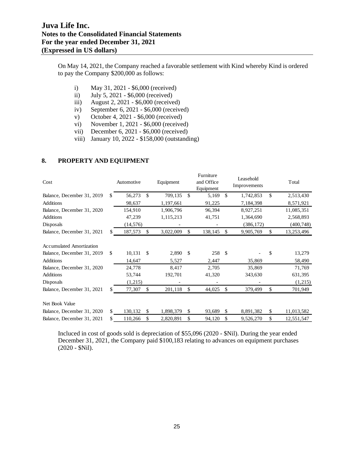On May 14, 2021, the Company reached a favorable settlement with Kind whereby Kind is ordered to pay the Company \$200,000 as follows:

- i) May 31, 2021 \$6,000 (received)
- ii) July 5, 2021 \$6,000 (received)
- iii) August 2, 2021 \$6,000 (received)
- iv) September 6, 2021 \$6,000 (received)
- v) October 4, 2021 \$6,000 (received)
- vi) November 1, 2021 \$6,000 (received)
- vii) December 6, 2021 \$6,000 (received)
- viii) January 10, 2022 \$158,000 (outstanding)

#### **8. PROPERTY AND EQUIPMENT**

| Cost                            |    | Automotive | Equipment       |    | Furniture<br>and Office<br>Equipment |               | Leasehold<br>Improvements | Total            |
|---------------------------------|----|------------|-----------------|----|--------------------------------------|---------------|---------------------------|------------------|
| Balance, December 31, 2019      | \$ | 56,273     | \$<br>709,135   | \$ | 5,169                                | <sup>\$</sup> | 1,742,853                 | \$<br>2,513,430  |
| <b>Additions</b>                |    | 98,637     | 1,197,661       |    | 91,225                               |               | 7,184,398                 | 8,571,921        |
| Balance, December 31, 2020      |    | 154,910    | 1,906,796       |    | 96,394                               |               | 8,927,251                 | 11,085,351       |
| <b>Additions</b>                |    | 47,239     | 1,115,213       |    | 41,751                               |               | 1,364,690                 | 2,568,893        |
| Disposals                       |    | (14, 576)  |                 |    |                                      |               | (386, 172)                | (400, 748)       |
| Balance, December 31, 2021      |    | 187,573    | \$<br>3,022,009 | S  | 138,145                              | \$.           | 9,905,769                 | \$<br>13,253,496 |
| <b>Accumulated Amortization</b> |    |            |                 |    |                                      |               |                           |                  |
| Balance, December 31, 2019      | \$ | 10,131     | \$<br>2,890     | \$ | 258                                  | $\mathcal{S}$ |                           | \$<br>13,279     |
| <b>Additions</b>                |    | 14,647     | 5,527           |    | 2,447                                |               | 35,869                    | 58,490           |
| Balance, December 31, 2020      |    | 24,778     | 8,417           |    | 2,705                                |               | 35,869                    | 71,769           |
| <b>Additions</b>                |    | 53,744     | 192,701         |    | 41,320                               |               | 343,630                   | 631,395          |
| Disposals                       |    | (1,215)    |                 |    |                                      |               |                           | (1,215)          |
| Balance, December 31, 2021      |    | 77,307     | \$<br>201,118   | \$ | 44,025                               | \$            | 379,499                   | \$<br>701,949    |
| Net Book Value                  |    |            |                 |    |                                      |               |                           |                  |
| Balance, December 31, 2020      | S. | 130,132    | \$<br>1,898,379 | \$ | 93,689                               | \$            | 8,891,382                 | \$<br>11,013,582 |
| Balance, December 31, 2021      | \$ | 110,266    | \$<br>2,820,891 | \$ | 94,120                               | \$            | 9,526,270                 | \$<br>12,551,547 |

Incluced in cost of goods sold is depreciation of \$55,096 (2020 - \$Nil). During the year ended December 31, 2021, the Company paid \$100,183 relating to advances on equipment purchases (2020 - \$Nil).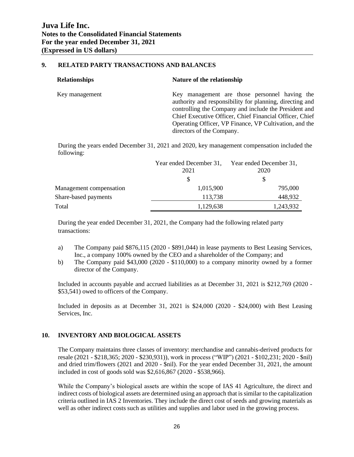#### **9. RELATED PARTY TRANSACTIONS AND BALANCES**

| <b>Relationships</b> | Nature of the relationship                                                                                                                                                                                                                                                              |
|----------------------|-----------------------------------------------------------------------------------------------------------------------------------------------------------------------------------------------------------------------------------------------------------------------------------------|
| Key management       | Key management are those personnel having the<br>authority and responsibility for planning, directing and<br>controlling the Company and include the President and<br>Chief Executive Officer, Chief Financial Officer, Chief<br>Operating Officer, VP Finance, VP Cultivation, and the |
|                      | directors of the Company.                                                                                                                                                                                                                                                               |

During the years ended December 31, 2021 and 2020, key management compensation included the following:

|                         | Year ended December 31,<br>2021 | Year ended December 31,<br>2020 |  |
|-------------------------|---------------------------------|---------------------------------|--|
|                         | S                               |                                 |  |
| Management compensation | 1,015,900                       | 795,000                         |  |
| Share-based payments    | 113,738                         | 448,932                         |  |
| Total                   | 1,129,638                       | 1,243,932                       |  |

During the year ended December 31, 2021, the Company had the following related party transactions:

- a) The Company paid \$876,115 (2020 \$891,044) in lease payments to Best Leasing Services, Inc., a company 100% owned by the CEO and a shareholder of the Company; and
- b) The Company paid \$43,000 (2020 \$110,000) to a company minority owned by a former director of the Company.

Included in accounts payable and accrued liabilities as at December 31, 2021 is \$212,769 (2020 - \$53,541) owed to officers of the Company.

Included in deposits as at December 31, 2021 is \$24,000 (2020 - \$24,000) with Best Leasing Services, Inc.

#### **10. INVENTORY AND BIOLOGICAL ASSETS**

The Company maintains three classes of inventory: merchandise and cannabis-derived products for resale (2021 - \$218,365; 2020 - \$230,931)), work in process ("WIP") (2021 - \$102,231; 2020 - \$nil) and dried trim/flowers (2021 and 2020 - \$nil). For the year ended December 31, 2021, the amount included in cost of goods sold was \$2,616,867 (2020 - \$538,966).

While the Company's biological assets are within the scope of IAS 41 Agriculture, the direct and indirect costs of biological assets are determined using an approach that is similar to the capitalization criteria outlined in IAS 2 Inventories. They include the direct cost of seeds and growing materials as well as other indirect costs such as utilities and supplies and labor used in the growing process.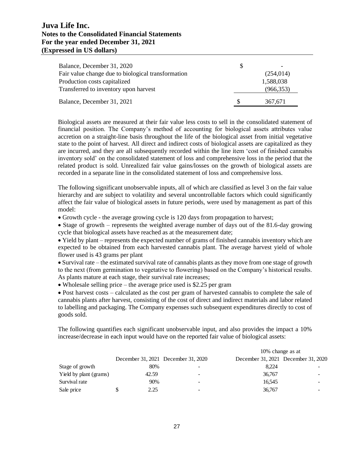| Balance, December 31, 2020                         | -S |            |
|----------------------------------------------------|----|------------|
| Fair value change due to biological transformation |    | (254, 014) |
| Production costs capitalized                       |    | 1,588,038  |
| Transferred to inventory upon harvest              |    | (966, 353) |
| Balance, December 31, 2021                         |    | 367,671    |

Biological assets are measured at their fair value less costs to sell in the consolidated statement of financial position. The Company's method of accounting for biological assets attributes value accretion on a straight-line basis throughout the life of the biological asset from initial vegetative state to the point of harvest. All direct and indirect costs of biological assets are capitalized as they are incurred, and they are all subsequently recorded within the line item 'cost of finished cannabis inventory sold' on the consolidated statement of loss and comprehensive loss in the period that the related product is sold. Unrealized fair value gains/losses on the growth of biological assets are recorded in a separate line in the consolidated statement of loss and comprehensive loss.

The following significant unobservable inputs, all of which are classified as level 3 on the fair value hierarchy and are subject to volatility and several uncontrollable factors which could significantly affect the fair value of biological assets in future periods, were used by management as part of this model:

• Growth cycle - the average growing cycle is 120 days from propagation to harvest;

• Stage of growth – represents the weighted average number of days out of the 81.6-day growing cycle that biological assets have reached as at the measurement date;

• Yield by plant – represents the expected number of grams of finished cannabis inventory which are expected to be obtained from each harvested cannabis plant. The average harvest yield of whole flower used is 43 grams per plant

• Survival rate – the estimated survival rate of cannabis plants as they move from one stage of growth to the next (from germination to vegetative to flowering) based on the Company's historical results. As plants mature at each stage, their survival rate increases;

• Wholesale selling price – the average price used is \$2.25 per gram

• Post harvest costs – calculated as the cost per gram of harvested cannabis to complete the sale of cannabis plants after harvest, consisting of the cost of direct and indirect materials and labor related to labelling and packaging. The Company expenses such subsequent expenditures directly to cost of goods sold.

The following quantifies each significant unobservable input, and also provides the impact a 10% increase/decrease in each input would have on the reported fair value of biological assets:

|                        |       | 10% change as at                    |                                     |   |  |
|------------------------|-------|-------------------------------------|-------------------------------------|---|--|
|                        |       | December 31, 2021 December 31, 2020 | December 31, 2021 December 31, 2020 |   |  |
| Stage of growth        | 80%   | -                                   | 8.224                               |   |  |
| Yield by plant (grams) | 42.59 | -                                   | 36,767                              | ۰ |  |
| Survival rate          | 90%   | -                                   | 16.545                              | - |  |
| Sale price             | 2.25  |                                     | 36,767                              |   |  |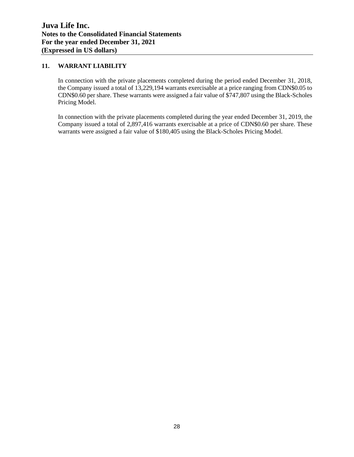#### **11. WARRANT LIABILITY**

In connection with the private placements completed during the period ended December 31, 2018, the Company issued a total of 13,229,194 warrants exercisable at a price ranging from CDN\$0.05 to CDN\$0.60 per share. These warrants were assigned a fair value of \$747,807 using the Black-Scholes Pricing Model.

In connection with the private placements completed during the year ended December 31, 2019, the Company issued a total of 2,897,416 warrants exercisable at a price of CDN\$0.60 per share. These warrants were assigned a fair value of \$180,405 using the Black-Scholes Pricing Model.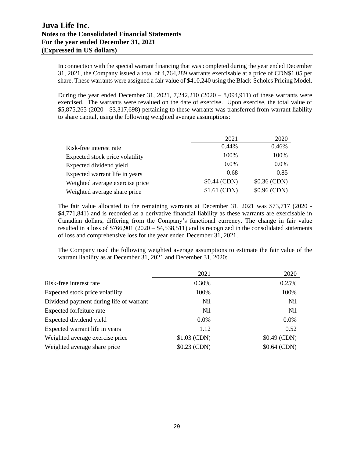In connection with the special warrant financing that was completed during the year ended December 31, 2021, the Company issued a total of 4,764,289 warrants exercisable at a price of CDN\$1.05 per share. These warrants were assigned a fair value of \$410,240 using the Black-Scholes Pricing Model.

During the year ended December 31, 2021, 7,242,210 (2020 – 8,094,911) of these warrants were exercised. The warrants were revalued on the date of exercise. Upon exercise, the total value of \$5,875,265 (2020 - \$3,317,698) pertaining to these warrants was transferred from warrant liability to share capital, using the following weighted average assumptions:

|                                 | 2021          | 2020          |
|---------------------------------|---------------|---------------|
| Risk-free interest rate         | 0.44%         | 0.46%         |
| Expected stock price volatility | 100%          | 100%          |
| Expected dividend yield         | $0.0\%$       | $0.0\%$       |
| Expected warrant life in years  | 0.68          | 0.85          |
| Weighted average exercise price | \$0.44 (CDN)  | $$0.36$ (CDN) |
| Weighted average share price    | $$1.61$ (CDN) | \$0.96 (CDN)  |

The fair value allocated to the remaining warrants at December 31, 2021 was \$73,717 (2020 - \$4,771,841) and is recorded as a derivative financial liability as these warrants are exercisable in Canadian dollars, differing from the Company's functional currency. The change in fair value resulted in a loss of \$766,901 (2020 – \$4,538,511) and is recognized in the consolidated statements of loss and comprehensive loss for the year ended December 31, 2021.

The Company used the following weighted average assumptions to estimate the fair value of the warrant liability as at December 31, 2021 and December 31, 2020:

|                                         | 2021            | 2020            |
|-----------------------------------------|-----------------|-----------------|
| Risk-free interest rate                 | 0.30%           | 0.25%           |
| Expected stock price volatility         | 100%            | 100%            |
| Dividend payment during life of warrant | Nil             | <b>Nil</b>      |
| Expected forfeiture rate                | N <sub>il</sub> | N <sub>il</sub> |
| Expected dividend yield                 | $0.0\%$         | $0.0\%$         |
| Expected warrant life in years          | 1.12            | 0.52            |
| Weighted average exercise price         | \$1.03 (CDN)    | \$0.49 (CDN)    |
| Weighted average share price            | \$0.23 (CDN)    | $$0.64$ (CDN)   |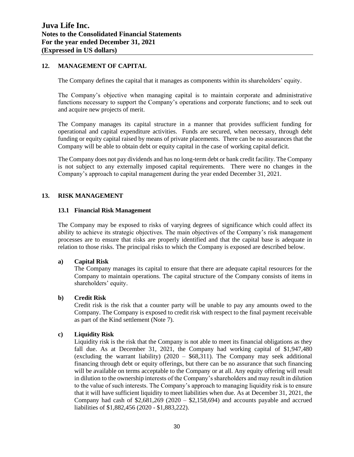#### **12. MANAGEMENT OF CAPITAL**

The Company defines the capital that it manages as components within its shareholders' equity.

The Company's objective when managing capital is to maintain corporate and administrative functions necessary to support the Company's operations and corporate functions; and to seek out and acquire new projects of merit.

The Company manages its capital structure in a manner that provides sufficient funding for operational and capital expenditure activities. Funds are secured, when necessary, through debt funding or equity capital raised by means of private placements. There can be no assurances that the Company will be able to obtain debt or equity capital in the case of working capital deficit.

The Company does not pay dividends and has no long-term debt or bank credit facility. The Company is not subject to any externally imposed capital requirements. There were no changes in the Company's approach to capital management during the year ended December 31, 2021.

#### **13. RISK MANAGEMENT**

#### **13.1 Financial Risk Management**

The Company may be exposed to risks of varying degrees of significance which could affect its ability to achieve its strategic objectives. The main objectives of the Company's risk management processes are to ensure that risks are properly identified and that the capital base is adequate in relation to those risks. The principal risks to which the Company is exposed are described below.

#### **a) Capital Risk**

The Company manages its capital to ensure that there are adequate capital resources for the Company to maintain operations. The capital structure of the Company consists of items in shareholders' equity.

#### **b) Credit Risk**

Credit risk is the risk that a counter party will be unable to pay any amounts owed to the Company. The Company is exposed to credit risk with respect to the final payment receivable as part of the Kind settlement (Note 7).

#### **c) Liquidity Risk**

Liquidity risk is the risk that the Company is not able to meet its financial obligations as they fall due. As at December 31, 2021, the Company had working capital of \$1,947,480 (excluding the warrant liability) (2020 – \$68,311). The Company may seek additional financing through debt or equity offerings, but there can be no assurance that such financing will be available on terms acceptable to the Company or at all. Any equity offering will result in dilution to the ownership interests of the Company's shareholders and may result in dilution to the value of such interests. The Company's approach to managing liquidity risk is to ensure that it will have sufficient liquidity to meet liabilities when due. As at December 31, 2021, the Company had cash of  $$2,681,269 (2020 - $2,158,694)$  and accounts payable and accrued liabilities of \$1,882,456 (2020 - \$1,883,222).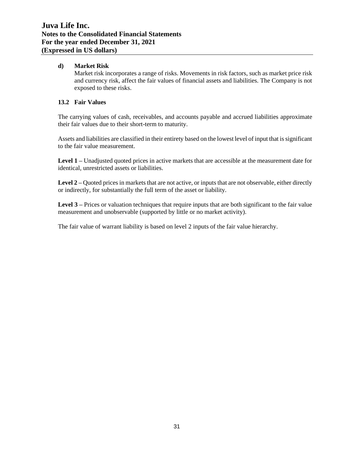#### **d) Market Risk**

Market risk incorporates a range of risks. Movements in risk factors, such as market price risk and currency risk, affect the fair values of financial assets and liabilities. The Company is not exposed to these risks.

#### **13.2 Fair Values**

The carrying values of cash, receivables, and accounts payable and accrued liabilities approximate their fair values due to their short-term to maturity.

Assets and liabilities are classified in their entirety based on the lowest level of input that is significant to the fair value measurement.

**Level 1 –** Unadjusted quoted prices in active markets that are accessible at the measurement date for identical, unrestricted assets or liabilities.

**Level 2 –** Quoted prices in markets that are not active, or inputs that are not observable, either directly or indirectly, for substantially the full term of the asset or liability.

Level 3 – Prices or valuation techniques that require inputs that are both significant to the fair value measurement and unobservable (supported by little or no market activity).

The fair value of warrant liability is based on level 2 inputs of the fair value hierarchy.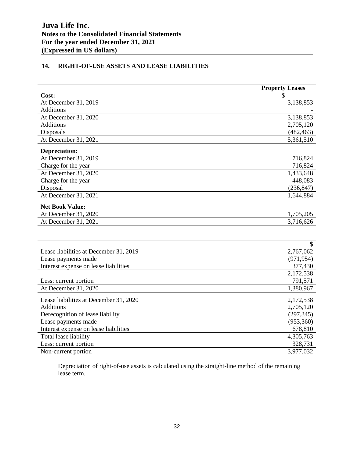## **14. RIGHT-OF-USE ASSETS AND LEASE LIABILITIES**

|                                        | <b>Property Leases</b> |
|----------------------------------------|------------------------|
| Cost:                                  |                        |
| At December 31, 2019                   | 3,138,853              |
| <b>Additions</b>                       |                        |
| At December 31, 2020                   | 3,138,853              |
| Additions                              | 2,705,120              |
| Disposals                              | (482, 463)             |
| At December 31, 2021                   | 5,361,510              |
| Depreciation:                          |                        |
| At December 31, 2019                   | 716,824                |
| Charge for the year                    | 716,824                |
| At December 31, 2020                   | 1,433,648              |
| Charge for the year                    | 448,083                |
| Disposal                               | (236, 847)             |
| At December 31, 2021                   | 1,644,884              |
| <b>Net Book Value:</b>                 |                        |
| At December 31, 2020                   | 1,705,205              |
| At December 31, 2021                   | 3,716,626              |
|                                        |                        |
|                                        | \$                     |
| Lease liabilities at December 31, 2019 | 2,767,062              |
| Lease payments made                    | (971, 954)             |
| Interest expense on lease liabilities  | 377,430                |
|                                        | 2,172,538              |
| Less: current portion                  | 791,571                |
| At December 31, 2020                   | 1,380,967              |
| Lease liabilities at December 31, 2020 | 2,172,538              |
| Additions                              | 2,705,120              |
| Derecognition of lease liability       | (297, 345)             |
| Lease payments made                    | (953,360)              |
| Interest expense on lease liabilities  | 678,810                |
| Total lease liability                  | 4,305,763              |
| Less: current portion                  | 328,731                |
| Non-current portion                    | 3,977,032              |

Depreciation of right-of-use assets is calculated using the straight-line method of the remaining lease term.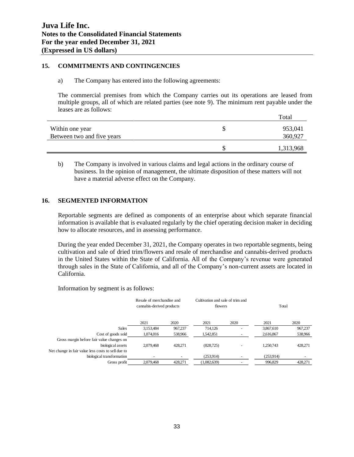#### **15. COMMITMENTS AND CONTINGENCIES**

a) The Company has entered into the following agreements:

The commercial premises from which the Company carries out its operations are leased from multiple groups, all of which are related parties (see note 9). The minimum rent payable under the leases are as follows:

|                            | Total     |
|----------------------------|-----------|
| Within one year            | 953,041   |
| Between two and five years | 360,927   |
|                            | 1,313,968 |

b) The Company is involved in various claims and legal actions in the ordinary course of business. In the opinion of management, the ultimate disposition of these matters will not have a material adverse effect on the Company.

#### **16. SEGMENTED INFORMATION**

Reportable segments are defined as components of an enterprise about which separate financial information is available that is evaluated regularly by the chief operating decision maker in deciding how to allocate resources, and in assessing performance.

During the year ended December 31, 2021, the Company operates in two reportable segments, being cultivation and sale of dried trim/flowers and resale of merchandise and cannabis-derived products in the United States within the State of California. All of the Company's revenue were generated through sales in the State of California, and all of the Company's non-current assets are located in California.

Information by segment is as follows:

|                                                                                                                      | Resale of merchandise and<br>cannabis-derived products |         | Cultivation and sale of trim and<br>flowers |      | Total     |         |
|----------------------------------------------------------------------------------------------------------------------|--------------------------------------------------------|---------|---------------------------------------------|------|-----------|---------|
|                                                                                                                      | 2021                                                   | 2020    | 2021                                        | 2020 | 2021      | 2020    |
| Sales                                                                                                                | 3,153,484                                              | 967,237 | 714,126                                     |      | 3.867.610 | 967,237 |
| Cost of goods sold                                                                                                   | 1,074,016                                              | 538,966 | 1,542,851                                   |      | 2,616,867 | 538,966 |
| Gross margin before fair value changes on<br>biological assets<br>Net change in fair value less costs to sell due to | 2.079.468                                              | 428.271 | (828, 725)                                  |      | 1,250,743 | 428,271 |
| biological transformation                                                                                            |                                                        |         | (253.914)                                   |      | (253.914) |         |
| Gross profit                                                                                                         | 2,079,468                                              | 428,271 | (1.082, 639)                                |      | 996,829   | 428,271 |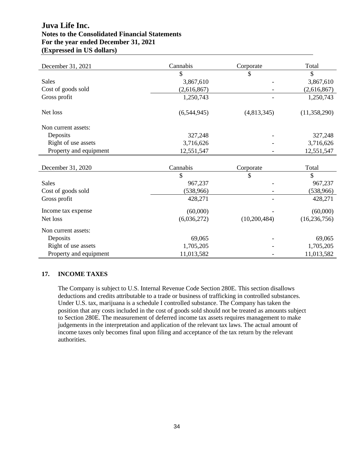| December 31, 2021      | Cannabis    | Corporate    | Total          |
|------------------------|-------------|--------------|----------------|
|                        | \$          |              | \$             |
| <b>Sales</b>           | 3,867,610   |              | 3,867,610      |
| Cost of goods sold     | (2,616,867) |              | (2,616,867)    |
| Gross profit           | 1,250,743   |              | 1,250,743      |
| Net loss               | (6,544,945) | (4,813,345)  | (11,358,290)   |
| Non current assets:    |             |              |                |
| Deposits               | 327,248     |              | 327,248        |
| Right of use assets    | 3,716,626   |              | 3,716,626      |
| Property and equipment | 12,551,547  |              | 12,551,547     |
|                        |             |              |                |
| December 31, 2020      | Cannabis    | Corporate    | Total          |
|                        | \$          | \$           | \$             |
| <b>Sales</b>           | 967,237     |              | 967,237        |
| Cost of goods sold     | (538, 966)  |              | (538,966)      |
| Gross profit           | 428,271     |              | 428,271        |
| Income tax expense     | (60,000)    |              | (60,000)       |
| Net loss               | (6,036,272) | (10,200,484) | (16, 236, 756) |
| Non current assets:    |             |              |                |
| Deposits               | 69,065      |              | 69,065         |
| Right of use assets    | 1,705,205   |              | 1,705,205      |
| Property and equipment | 11,013,582  |              | 11,013,582     |

#### **17. INCOME TAXES**

The Company is subject to U.S. Internal Revenue Code Section 280E. This section disallows deductions and credits attributable to a trade or business of trafficking in controlled substances. Under U.S. tax, marijuana is a schedule I controlled substance. The Company has taken the position that any costs included in the cost of goods sold should not be treated as amounts subject to Section 280E. The measurement of deferred income tax assets requires management to make judgements in the interpretation and application of the relevant tax laws. The actual amount of income taxes only becomes final upon filing and acceptance of the tax return by the relevant authorities.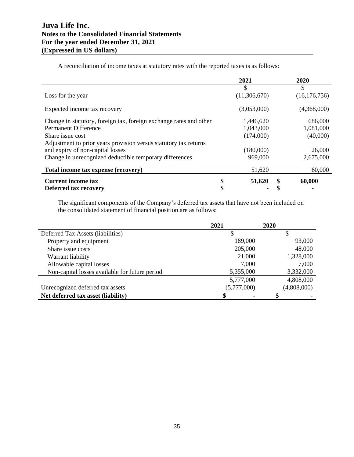|                                                                    |          | 2021         | 2020           |
|--------------------------------------------------------------------|----------|--------------|----------------|
|                                                                    |          | \$           | S              |
| Loss for the year                                                  |          | (11,306,670) | (16, 176, 756) |
| Expected income tax recovery                                       |          | (3,053,000)  | (4,368,000)    |
| Change in statutory, foreign tax, foreign exchange rates and other |          | 1,446,620    | 686,000        |
| <b>Permanent Difference</b>                                        |          | 1,043,000    | 1,081,000      |
| Share issue cost                                                   |          | (174,000)    | (40,000)       |
| Adjustment to prior years provision versus statutory tax returns   |          |              |                |
| and expiry of non-capital losses                                   |          | (180,000)    | 26,000         |
| Change in unrecognized deductible temporary differences            |          | 969,000      | 2,675,000      |
| Total income tax expense (recovery)                                |          | 51,620       | 60,000         |
| <b>Current income tax</b><br>Deferred tax recovery                 | \$<br>\$ | 51,620       | 60,000         |

A reconciliation of income taxes at statutory rates with the reported taxes is as follows:

The significant components of the Company's deferred tax assets that have not been included on the consolidated statement of financial position are as follows:

|                                                | 2021        | 2020        |
|------------------------------------------------|-------------|-------------|
| Deferred Tax Assets (liabilities)              |             |             |
| Property and equipment                         | 189,000     | 93,000      |
| Share issue costs                              | 205,000     | 48,000      |
| Warrant liability                              | 21,000      | 1,328,000   |
| Allowable capital losses                       | 7,000       | 7,000       |
| Non-capital losses available for future period | 5,355,000   | 3,332,000   |
|                                                | 5,777,000   | 4,808,000   |
| Unrecognized deferred tax assets               | (5,777,000) | (4,808,000) |
| Net deferred tax asset (liability)             |             |             |